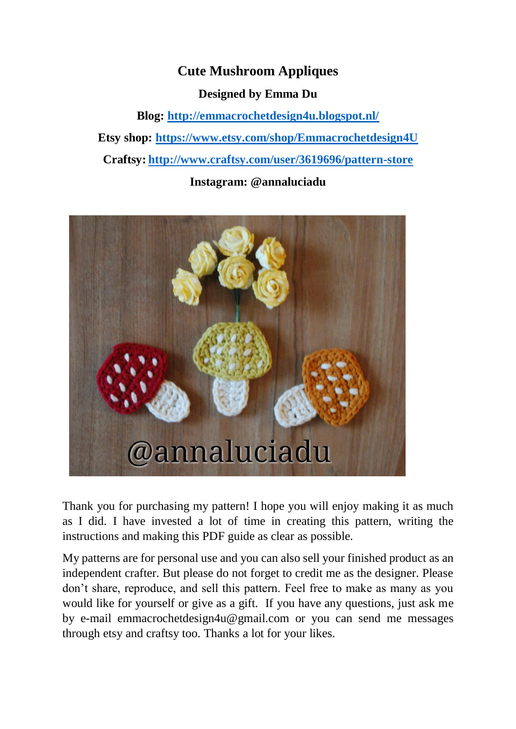## **Cute Mushroom Appliques**

**Designed by Emma Du** 

**Blog:<http://emmacrochetdesign4u.blogspot.nl/> Etsy shop:<https://www.etsy.com/shop/Emmacrochetdesign4U> Craftsy: <http://www.craftsy.com/user/3619696/pattern-store>**

**Instagram: @annaluciadu**



Thank you for purchasing my pattern! I hope you will enjoy making it as much as I did. I have invested a lot of time in creating this pattern, writing the instructions and making this PDF guide as clear as possible.

My patterns are for personal use and you can also sell your finished product as an independent crafter. But please do not forget to credit me as the designer. Please don't share, reproduce, and sell this pattern. Feel free to make as many as you would like for yourself or give as a gift. If you have any questions, just ask me by e-mail emmacrochetdesign4u@gmail.com or you can send me messages through etsy and craftsy too. Thanks a lot for your likes.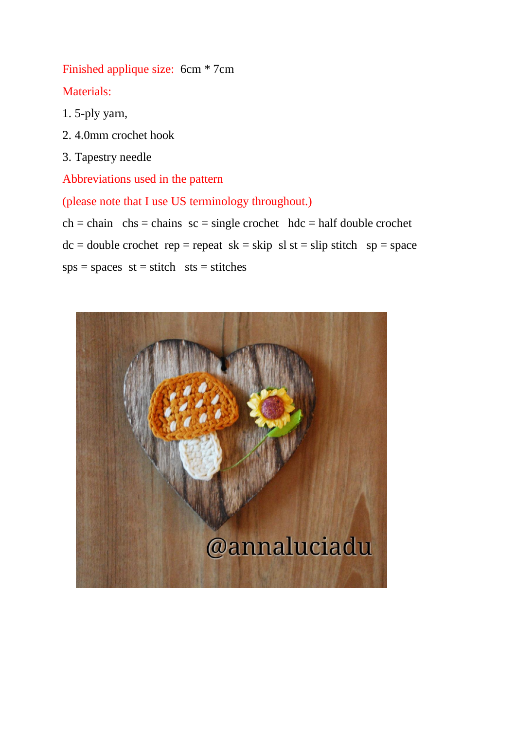Finished applique size: 6cm \* 7cm Materials:

- 1. 5-ply yarn,
- 2. 4.0mm crochet hook
- 3. Tapestry needle

Abbreviations used in the pattern

(please note that I use US terminology throughout.)

 $ch = chain \; ch = chains \; sc = single \; crochet \; hdc = half \; double \; crochet$  $dc = double crochet rep = repeat sk = skip sl st = slip stitch sp = space$  $sps = spaces$  st = stitch sts = stitches

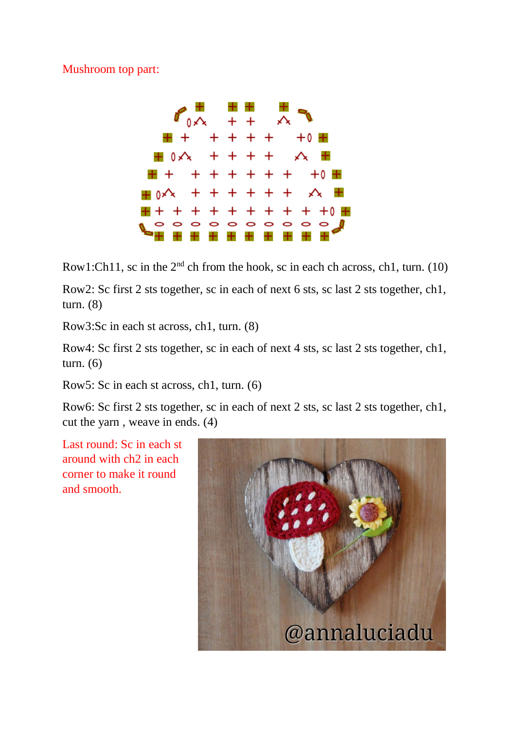Mushroom top part:



Row1:Ch11, sc in the  $2<sup>nd</sup>$  ch from the hook, sc in each ch across, ch1, turn. (10)

Row2: Sc first 2 sts together, sc in each of next 6 sts, sc last 2 sts together, ch1, turn. (8)

Row3:Sc in each st across, ch1, turn. (8)

Row4: Sc first 2 sts together, sc in each of next 4 sts, sc last 2 sts together, ch1, turn. (6)

Row5: Sc in each st across, ch1, turn. (6)

Row6: Sc first 2 sts together, sc in each of next 2 sts, sc last 2 sts together, ch1, cut the yarn , weave in ends. (4)

Last round: Sc in each st around with ch2 in each corner to make it round and smooth.